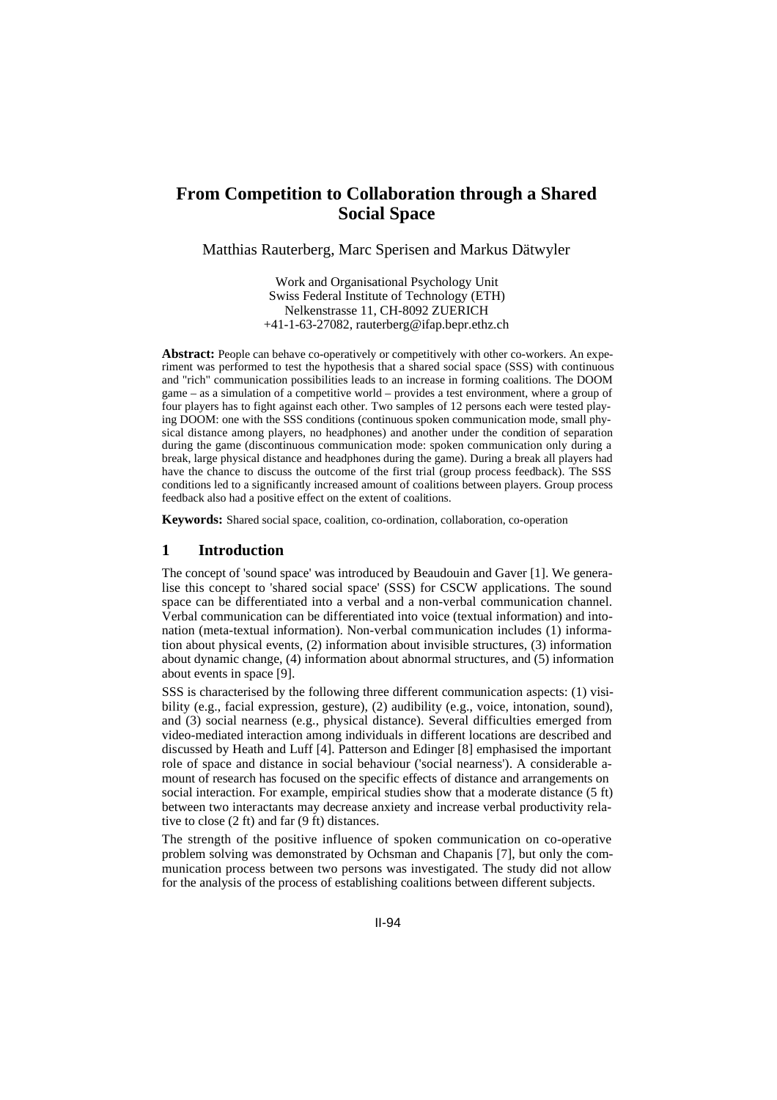# **From Competition to Collaboration through a Shared Social Space**

Matthias Rauterberg, Marc Sperisen and Markus Dätwyler

Work and Organisational Psychology Unit Swiss Federal Institute of Technology (ETH) Nelkenstrasse 11, CH-8092 ZUERICH +41-1-63-27082, rauterberg@ifap.bepr.ethz.ch

**Abstract:** People can behave co-operatively or competitively with other co-workers. An experiment was performed to test the hypothesis that a shared social space (SSS) with continuous and "rich" communication possibilities leads to an increase in forming coalitions. The DOOM game – as a simulation of a competitive world – provides a test environment, where a group of four players has to fight against each other. Two samples of 12 persons each were tested playing DOOM: one with the SSS conditions (continuous spoken communication mode, small physical distance among players, no headphones) and another under the condition of separation during the game (discontinuous communication mode: spoken communication only during a break, large physical distance and headphones during the game). During a break all players had have the chance to discuss the outcome of the first trial (group process feedback). The SSS conditions led to a significantly increased amount of coalitions between players. Group process feedback also had a positive effect on the extent of coalitions.

**Keywords:** Shared social space, coalition, co-ordination, collaboration, co-operation

#### **1 Introduction**

The concept of 'sound space' was introduced by Beaudouin and Gaver [1]. We generalise this concept to 'shared social space' (SSS) for CSCW applications. The sound space can be differentiated into a verbal and a non-verbal communication channel. Verbal communication can be differentiated into voice (textual information) and intonation (meta-textual information). Non-verbal communication includes (1) information about physical events, (2) information about invisible structures, (3) information about dynamic change, (4) information about abnormal structures, and (5) information about events in space [9].

SSS is characterised by the following three different communication aspects: (1) visibility (e.g., facial expression, gesture), (2) audibility (e.g., voice, intonation, sound), and (3) social nearness (e.g., physical distance). Several difficulties emerged from video-mediated interaction among individuals in different locations are described and discussed by Heath and Luff [4]. Patterson and Edinger [8] emphasised the important role of space and distance in social behaviour ('social nearness'). A considerable amount of research has focused on the specific effects of distance and arrangements on social interaction. For example, empirical studies show that a moderate distance (5 ft) between two interactants may decrease anxiety and increase verbal productivity relative to close (2 ft) and far (9 ft) distances.

The strength of the positive influence of spoken communication on co-operative problem solving was demonstrated by Ochsman and Chapanis [7], but only the communication process between two persons was investigated. The study did not allow for the analysis of the process of establishing coalitions between different subjects.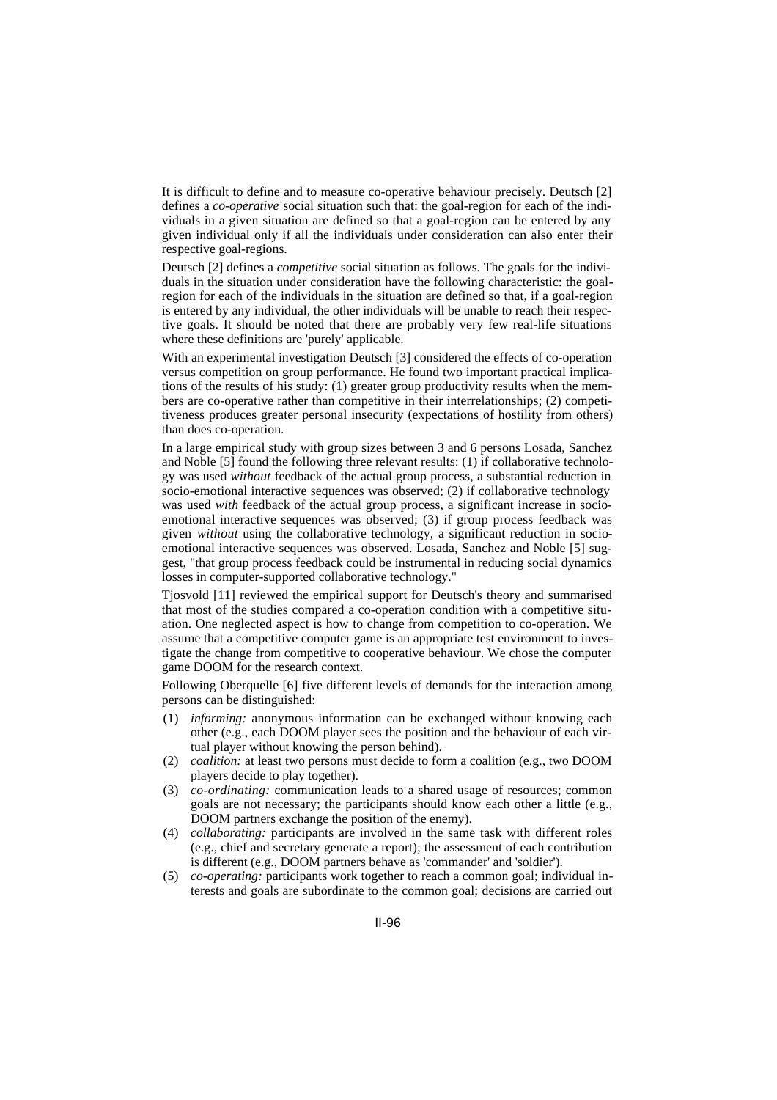It is difficult to define and to measure co-operative behaviour precisely. Deutsch [2] defines a *co-operative* social situation such that: the goal-region for each of the individuals in a given situation are defined so that a goal-region can be entered by any given individual only if all the individuals under consideration can also enter their respective goal-regions.

Deutsch [2] defines a *competitive* social situation as follows. The goals for the individuals in the situation under consideration have the following characteristic: the goalregion for each of the individuals in the situation are defined so that, if a goal-region is entered by any individual, the other individuals will be unable to reach their respective goals. It should be noted that there are probably very few real-life situations where these definitions are 'purely' applicable.

With an experimental investigation Deutsch [3] considered the effects of co-operation versus competition on group performance. He found two important practical implications of the results of his study: (1) greater group productivity results when the members are co-operative rather than competitive in their interrelationships; (2) competitiveness produces greater personal insecurity (expectations of hostility from others) than does co-operation.

In a large empirical study with group sizes between 3 and 6 persons Losada, Sanchez and Noble [5] found the following three relevant results: (1) if collaborative technology was used *without* feedback of the actual group process, a substantial reduction in socio-emotional interactive sequences was observed; (2) if collaborative technology was used *with* feedback of the actual group process, a significant increase in socioemotional interactive sequences was observed; (3) if group process feedback was given *without* using the collaborative technology, a significant reduction in socioemotional interactive sequences was observed. Losada, Sanchez and Noble [5] suggest, "that group process feedback could be instrumental in reducing social dynamics losses in computer-supported collaborative technology."

Tjosvold [11] reviewed the empirical support for Deutsch's theory and summarised that most of the studies compared a co-operation condition with a competitive situation. One neglected aspect is how to change from competition to co-operation. We assume that a competitive computer game is an appropriate test environment to investigate the change from competitive to cooperative behaviour. We chose the computer game DOOM for the research context.

Following Oberquelle [6] five different levels of demands for the interaction among persons can be distinguished:

- (1) *informing:* anonymous information can be exchanged without knowing each other (e.g., each DOOM player sees the position and the behaviour of each virtual player without knowing the person behind).
- (2) *coalition:* at least two persons must decide to form a coalition (e.g., two DOOM players decide to play together).
- (3) *co-ordinating:* communication leads to a shared usage of resources; common goals are not necessary; the participants should know each other a little (e.g., DOOM partners exchange the position of the enemy).
- (4) *collaborating:* participants are involved in the same task with different roles (e.g., chief and secretary generate a report); the assessment of each contribution is different (e.g., DOOM partners behave as 'commander' and 'soldier').
- (5) *co-operating:* participants work together to reach a common goal; individual interests and goals are subordinate to the common goal; decisions are carried out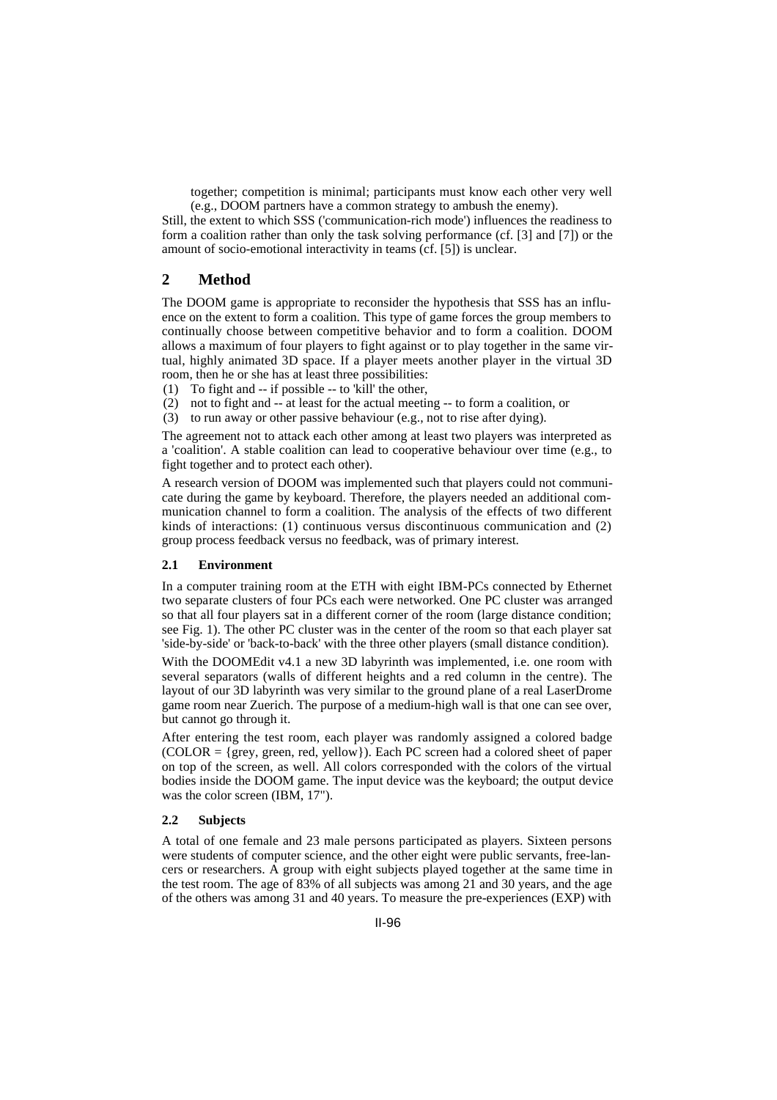together; competition is minimal; participants must know each other very well (e.g., DOOM partners have a common strategy to ambush the enemy).

Still, the extent to which SSS ('communication-rich mode') influences the readiness to form a coalition rather than only the task solving performance (cf. [3] and [7]) or the amount of socio-emotional interactivity in teams (cf. [5]) is unclear.

# **2 Method**

The DOOM game is appropriate to reconsider the hypothesis that SSS has an influence on the extent to form a coalition. This type of game forces the group members to continually choose between competitive behavior and to form a coalition. DOOM allows a maximum of four players to fight against or to play together in the same virtual, highly animated 3D space. If a player meets another player in the virtual 3D room, then he or she has at least three possibilities:

- (1) To fight and -- if possible -- to 'kill' the other,
- (2) not to fight and -- at least for the actual meeting -- to form a coalition, or
- (3) to run away or other passive behaviour (e.g., not to rise after dying).

The agreement not to attack each other among at least two players was interpreted as a 'coalition'. A stable coalition can lead to cooperative behaviour over time (e.g., to fight together and to protect each other).

A research version of DOOM was implemented such that players could not communicate during the game by keyboard. Therefore, the players needed an additional communication channel to form a coalition. The analysis of the effects of two different kinds of interactions: (1) continuous versus discontinuous communication and (2) group process feedback versus no feedback, was of primary interest.

#### **2.1 Environment**

In a computer training room at the ETH with eight IBM-PCs connected by Ethernet two separate clusters of four PCs each were networked. One PC cluster was arranged so that all four players sat in a different corner of the room (large distance condition; see Fig. 1). The other PC cluster was in the center of the room so that each player sat 'side-by-side' or 'back-to-back' with the three other players (small distance condition).

With the DOOMEdit v4.1 a new 3D labyrinth was implemented, i.e. one room with several separators (walls of different heights and a red column in the centre). The layout of our 3D labyrinth was very similar to the ground plane of a real LaserDrome game room near Zuerich. The purpose of a medium-high wall is that one can see over, but cannot go through it.

After entering the test room, each player was randomly assigned a colored badge  $(COLOR = {grey, green, red, yellow}.$  Each PC screen had a colored sheet of paper on top of the screen, as well. All colors corresponded with the colors of the virtual bodies inside the DOOM game. The input device was the keyboard; the output device was the color screen (IBM, 17").

#### **2.2 Subjects**

A total of one female and 23 male persons participated as players. Sixteen persons were students of computer science, and the other eight were public servants, free-lancers or researchers. A group with eight subjects played together at the same time in the test room. The age of 83% of all subjects was among 21 and 30 years, and the age of the others was among 31 and 40 years. To measure the pre-experiences (EXP) with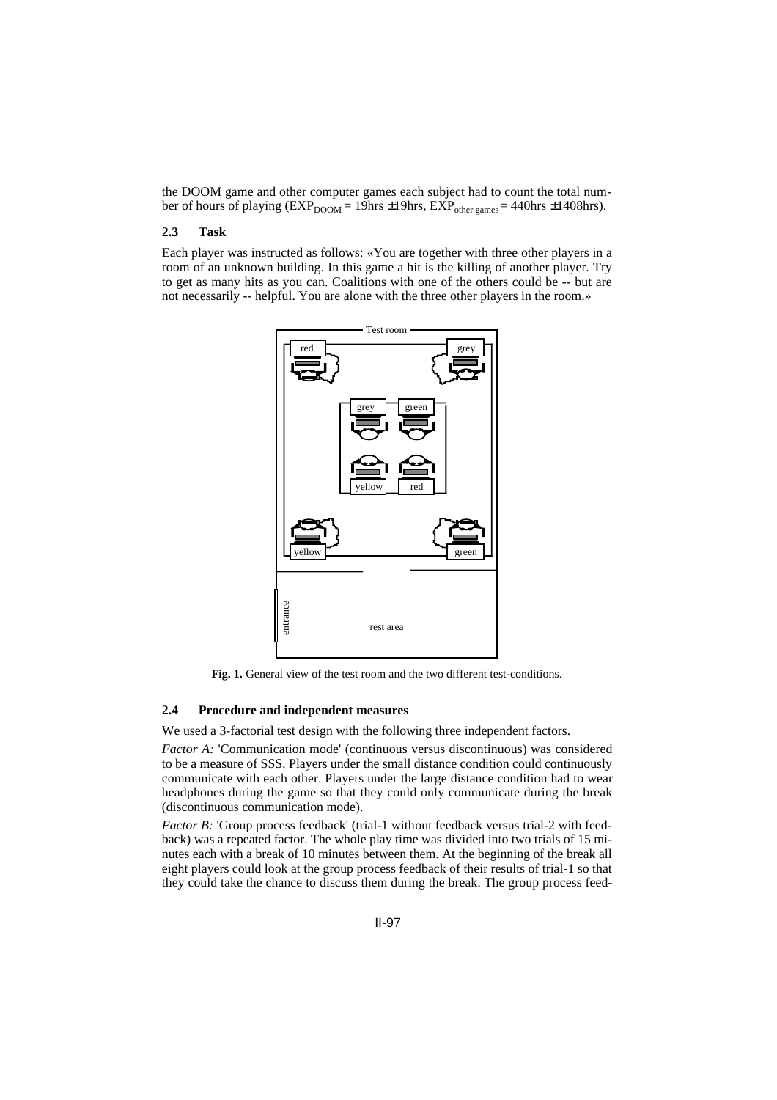the DOOM game and other computer games each subject had to count the total number of hours of playing ( $EXP<sub>DOOM</sub> = 19$ hrs ±19hrs,  $EXP<sub>other games</sub> = 440$ hrs ±1408hrs).

#### **2.3 Task**

Each player was instructed as follows: «You are together with three other players in a room of an unknown building. In this game a hit is the killing of another player. Try to get as many hits as you can. Coalitions with one of the others could be -- but are not necessarily -- helpful. You are alone with the three other players in the room.»



**Fig. 1.** General view of the test room and the two different test-conditions.

#### **2.4 Procedure and independent measures**

We used a 3-factorial test design with the following three independent factors.

*Factor A:* 'Communication mode' (continuous versus discontinuous) was considered to be a measure of SSS. Players under the small distance condition could continuously communicate with each other. Players under the large distance condition had to wear headphones during the game so that they could only communicate during the break (discontinuous communication mode).

*Factor B:* 'Group process feedback' (trial-1 without feedback versus trial-2 with feedback) was a repeated factor. The whole play time was divided into two trials of 15 minutes each with a break of 10 minutes between them. At the beginning of the break all eight players could look at the group process feedback of their results of trial-1 so that they could take the chance to discuss them during the break. The group process feed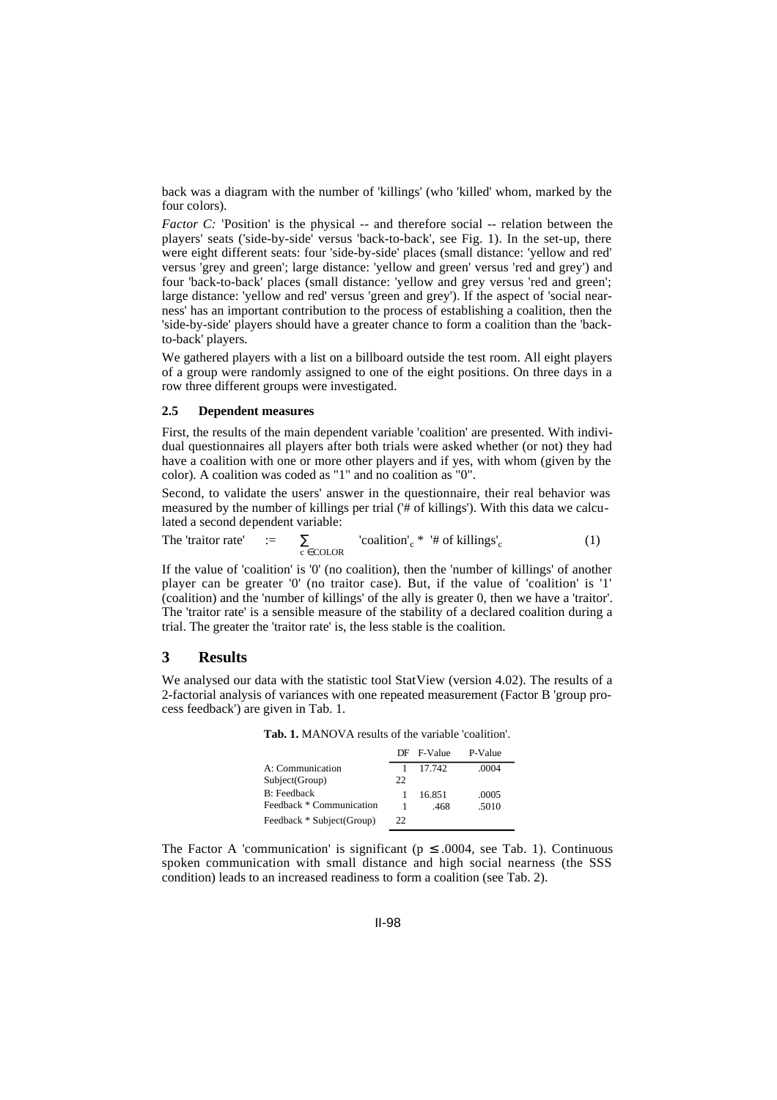back was a diagram with the number of 'killings' (who 'killed' whom, marked by the four colors).

*Factor C:* 'Position' is the physical -- and therefore social -- relation between the players' seats ('side-by-side' versus 'back-to-back', see Fig. 1). In the set-up, there were eight different seats: four 'side-by-side' places (small distance: 'yellow and red' versus 'grey and green'; large distance: 'yellow and green' versus 'red and grey') and four 'back-to-back' places (small distance: 'yellow and grey versus 'red and green'; large distance: 'yellow and red' versus 'green and grey'). If the aspect of 'social nearness' has an important contribution to the process of establishing a coalition, then the 'side-by-side' players should have a greater chance to form a coalition than the 'backto-back' players.

We gathered players with a list on a billboard outside the test room. All eight players of a group were randomly assigned to one of the eight positions. On three days in a row three different groups were investigated.

#### **2.5 Dependent measures**

First, the results of the main dependent variable 'coalition' are presented. With individual questionnaires all players after both trials were asked whether (or not) they had have a coalition with one or more other players and if yes, with whom (given by the color). A coalition was coded as "1" and no coalition as "0".

Second, to validate the users' answer in the questionnaire, their real behavior was measured by the number of killings per trial ('# of killings'). With this data we calculated a second dependent variable:

The 'trajectory rate' := 
$$
\sum_{c \in \text{COLOR}}
$$
 'condition'  $c^*$  '# of killings'  $c$  (1)

If the value of 'coalition' is '0' (no coalition), then the 'number of killings' of another player can be greater '0' (no traitor case). But, if the value of 'coalition' is '1' (coalition) and the 'number of killings' of the ally is greater 0, then we have a 'traitor'. The 'traitor rate' is a sensible measure of the stability of a declared coalition during a trial. The greater the 'traitor rate' is, the less stable is the coalition.

#### **3 Results**

We analysed our data with the statistic tool StatView (version 4.02). The results of a 2-factorial analysis of variances with one repeated measurement (Factor B 'group process feedback') are given in Tab. 1.

**Tab. 1.** MANOVA results of the variable 'coalition'.

|                           |     | DF F-Value | P-Value |
|---------------------------|-----|------------|---------|
| A: Communication          |     | 17.742     | .0004   |
| Subject(Group)            | 22. |            |         |
| <b>B</b> : Feedback       |     | 16.851     | .0005   |
| Feedback * Communication  |     | -468       | .5010   |
| Feedback * Subject(Group) | 22  |            |         |

The Factor A 'communication' is significant ( $p \le 0.0004$ , see Tab. 1). Continuous spoken communication with small distance and high social nearness (the SSS condition) leads to an increased readiness to form a coalition (see Tab. 2).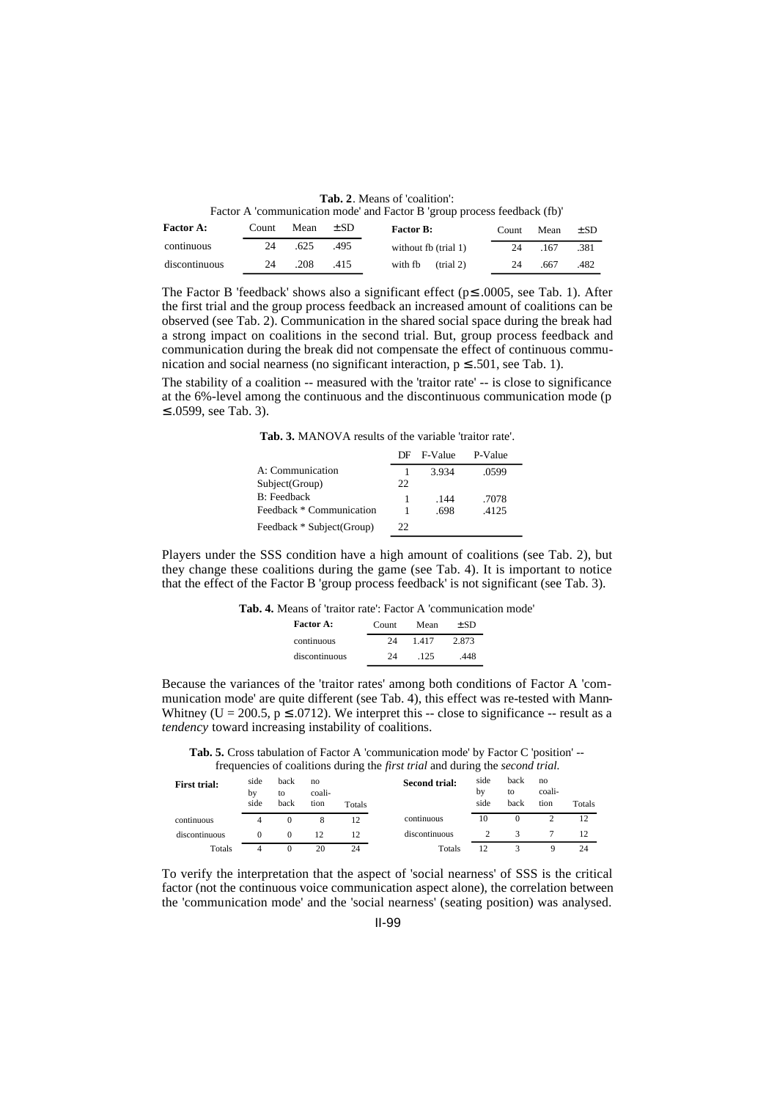**Tab. 2**. Means of 'coalition': Factor A 'communication mode' and Factor B 'group process feedback (fb)'

|               |  |                                              |                                                                                                                                     | Factor A communication mode and Factor B group process recupaci (10) |  |  |
|---------------|--|----------------------------------------------|-------------------------------------------------------------------------------------------------------------------------------------|----------------------------------------------------------------------|--|--|
| $\sim$ $\sim$ |  | $C_{\text{count}}$ $M_{\text{con}}$ $\pm$ CD | $\mathbf{D}$ and $\mathbf{D}$ and $\mathbf{D}$ and $\mathbf{D}$ and $\mathbf{D}$ and $\mathbf{D}$ and $\mathbf{D}$ and $\mathbf{D}$ |                                                                      |  |  |

| <b>Factor A:</b> | Count | Mean | $\pm$ SD | <b>Factor B:</b>            | Count | Mean | $\pm$ SD |
|------------------|-------|------|----------|-----------------------------|-------|------|----------|
| continuous       | 24    | .625 | -495     | without fb (trial 1)        | 24    | .167 | .381     |
| discontinuous    | 24    | .208 | .415     | with fb $(\text{trial } 2)$ | 24    | .667 | .482     |

The Factor B 'feedback' shows also a significant effect ( $p \le 0.0005$ , see Tab. 1). After the first trial and the group process feedback an increased amount of coalitions can be observed (see Tab. 2). Communication in the shared social space during the break had a strong impact on coalitions in the second trial. But, group process feedback and communication during the break did not compensate the effect of continuous communication and social nearness (no significant interaction,  $p \leq .501$ , see Tab. 1).

The stability of a coalition -- measured with the 'traitor rate' -- is close to significance at the 6%-level among the continuous and the discontinuous communication mode (p ≤ .0599, see Tab. 3).

**Tab. 3.** MANOVA results of the variable 'traitor rate'.

|                           |     | DF F-Value | P-Value |  |
|---------------------------|-----|------------|---------|--|
| A: Communication          |     | 3.934      | .0599   |  |
| Subject(Group)            | 22. |            |         |  |
| <b>B</b> : Feedback       |     | .144       | .7078   |  |
| Feedback * Communication  |     | .698       | .4125   |  |
| Feedback * Subject(Group) | 22. |            |         |  |

Players under the SSS condition have a high amount of coalitions (see Tab. 2), but they change these coalitions during the game (see Tab. 4). It is important to notice that the effect of the Factor B 'group process feedback' is not significant (see Tab. 3).

| <b>Tab. 4.</b> Means of 'traitor rate': Factor A 'communication mode' |  |  |  |
|-----------------------------------------------------------------------|--|--|--|
|-----------------------------------------------------------------------|--|--|--|

| <b>Factor A:</b> | Count | Mean | $+SD$ |
|------------------|-------|------|-------|
| continuous       | 24    | 1417 | 2.873 |
| discontinuous    | 24    | -125 | 448   |

Because the variances of the 'traitor rates' among both conditions of Factor A 'communication mode' are quite different (see Tab. 4), this effect was re-tested with Mann-Whitney (U = 200.5,  $p \le 0.0712$ ). We interpret this -- close to significance -- result as a *tendency* toward increasing instability of coalitions.

**Tab. 5.** Cross tabulation of Factor A 'communication mode' by Factor C 'position' - frequencies of coalitions during the *first trial* and during the *second trial.*

| <b>First trial:</b> | side<br>by<br>side | back<br>to<br>back | no<br>coali-<br>tion | Totals | <b>Second trial:</b> | side<br>bv<br>side | back<br>to<br>back | no<br>coali-<br>tion | Totals |
|---------------------|--------------------|--------------------|----------------------|--------|----------------------|--------------------|--------------------|----------------------|--------|
| continuous          | 4                  | $^{(1)}$           | 8                    | 12     | continuous           | 10                 |                    |                      | 12     |
| discontinuous       | $\theta$           | $^{(1)}$           | 12                   | 12     | discontinuous        |                    |                    |                      | 12     |
| Totals              |                    | $^{(1)}$           | 20                   | 24     | Totals               | 12                 |                    | Q                    | 24     |

To verify the interpretation that the aspect of 'social nearness' of SSS is the critical factor (not the continuous voice communication aspect alone), the correlation between the 'communication mode' and the 'social nearness' (seating position) was analysed.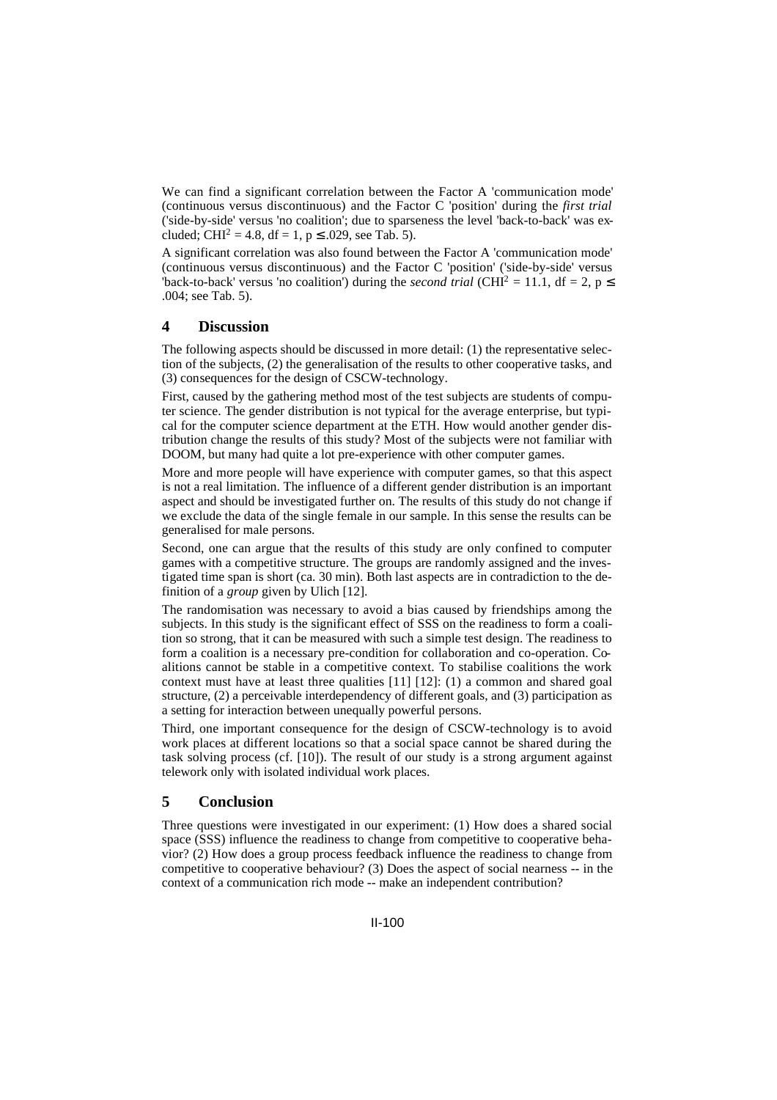We can find a significant correlation between the Factor A 'communication mode' (continuous versus discontinuous) and the Factor C 'position' during the *first trial* ('side-by-side' versus 'no coalition'; due to sparseness the level 'back-to-back' was excluded; CHI<sup>2</sup> = 4.8, df = 1, p  $\leq$  .029, see Tab. 5).

A significant correlation was also found between the Factor A 'communication mode' (continuous versus discontinuous) and the Factor C 'position' ('side-by-side' versus 'back-to-back' versus 'no coalition') during the *second trial* (CHI<sup>2</sup> = 11.1, df = 2, p  $\leq$ .004; see Tab. 5).

## **4 Discussion**

The following aspects should be discussed in more detail: (1) the representative selection of the subjects, (2) the generalisation of the results to other cooperative tasks, and (3) consequences for the design of CSCW-technology.

First, caused by the gathering method most of the test subjects are students of computer science. The gender distribution is not typical for the average enterprise, but typical for the computer science department at the ETH. How would another gender distribution change the results of this study? Most of the subjects were not familiar with DOOM, but many had quite a lot pre-experience with other computer games.

More and more people will have experience with computer games, so that this aspect is not a real limitation. The influence of a different gender distribution is an important aspect and should be investigated further on. The results of this study do not change if we exclude the data of the single female in our sample. In this sense the results can be generalised for male persons.

Second, one can argue that the results of this study are only confined to computer games with a competitive structure. The groups are randomly assigned and the investigated time span is short (ca. 30 min). Both last aspects are in contradiction to the definition of a *group* given by Ulich [12].

The randomisation was necessary to avoid a bias caused by friendships among the subjects. In this study is the significant effect of SSS on the readiness to form a coalition so strong, that it can be measured with such a simple test design. The readiness to form a coalition is a necessary pre-condition for collaboration and co-operation. Coalitions cannot be stable in a competitive context. To stabilise coalitions the work context must have at least three qualities [11] [12]: (1) a common and shared goal structure, (2) a perceivable interdependency of different goals, and (3) participation as a setting for interaction between unequally powerful persons.

Third, one important consequence for the design of CSCW-technology is to avoid work places at different locations so that a social space cannot be shared during the task solving process (cf. [10]). The result of our study is a strong argument against telework only with isolated individual work places.

### **5 Conclusion**

Three questions were investigated in our experiment: (1) How does a shared social space (SSS) influence the readiness to change from competitive to cooperative behavior? (2) How does a group process feedback influence the readiness to change from competitive to cooperative behaviour? (3) Does the aspect of social nearness -- in the context of a communication rich mode -- make an independent contribution?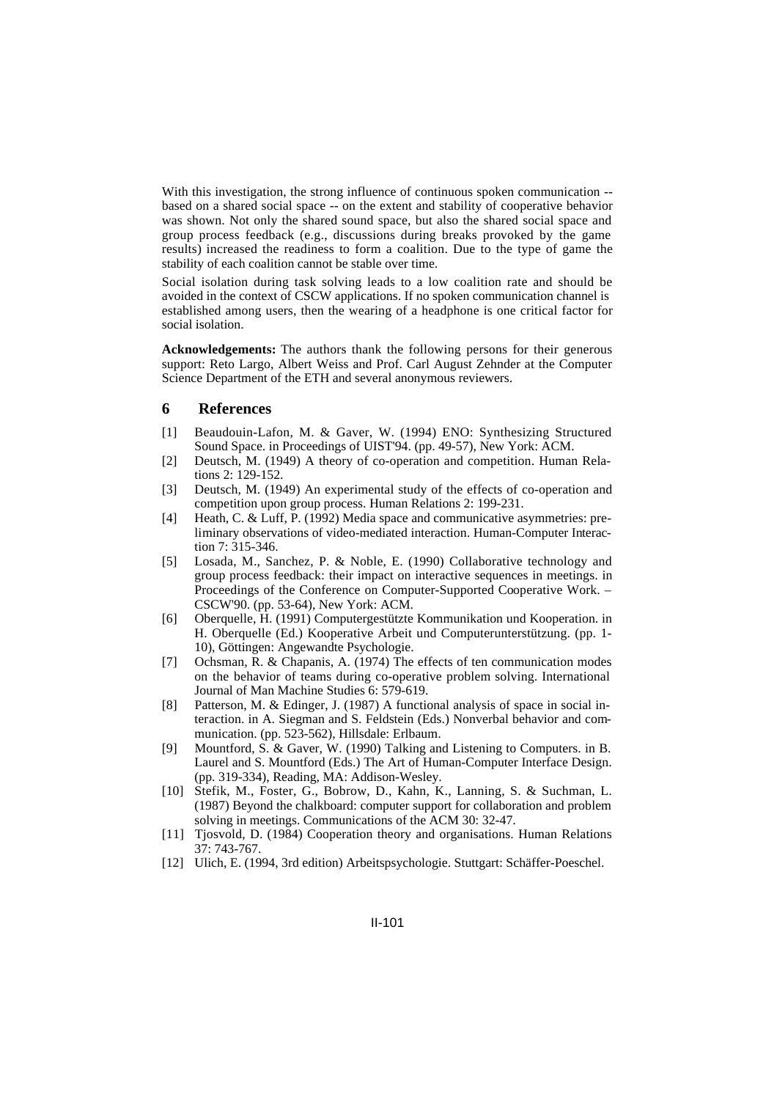With this investigation, the strong influence of continuous spoken communication - based on a shared social space -- on the extent and stability of cooperative behavior was shown. Not only the shared sound space, but also the shared social space and group process feedback (e.g., discussions during breaks provoked by the game results) increased the readiness to form a coalition. Due to the type of game the stability of each coalition cannot be stable over time.

Social isolation during task solving leads to a low coalition rate and should be avoided in the context of CSCW applications. If no spoken communication channel is established among users, then the wearing of a headphone is one critical factor for social isolation.

**Acknowledgements:** The authors thank the following persons for their generous support: Reto Largo, Albert Weiss and Prof. Carl August Zehnder at the Computer Science Department of the ETH and several anonymous reviewers.

#### **6 References**

- [1] Beaudouin-Lafon, M. & Gaver, W. (1994) ENO: Synthesizing Structured Sound Space. in Proceedings of UIST'94. (pp. 49-57), New York: ACM.
- [2] Deutsch, M. (1949) A theory of co-operation and competition. Human Relations 2: 129-152.
- [3] Deutsch, M. (1949) An experimental study of the effects of co-operation and competition upon group process. Human Relations 2: 199-231.
- [4] Heath, C. & Luff, P. (1992) Media space and communicative asymmetries: preliminary observations of video-mediated interaction. Human-Computer Interaction 7: 315-346.
- [5] Losada, M., Sanchez, P. & Noble, E. (1990) Collaborative technology and group process feedback: their impact on interactive sequences in meetings. in Proceedings of the Conference on Computer-Supported Cooperative Work. – CSCW'90. (pp. 53-64), New York: ACM.
- [6] Oberquelle, H. (1991) Computergestützte Kommunikation und Kooperation. in H. Oberquelle (Ed.) Kooperative Arbeit und Computerunterstützung. (pp. 1- 10), Göttingen: Angewandte Psychologie.
- [7] Ochsman, R. & Chapanis, A. (1974) The effects of ten communication modes on the behavior of teams during co-operative problem solving. International Journal of Man Machine Studies 6: 579-619.
- [8] Patterson, M. & Edinger, J. (1987) A functional analysis of space in social interaction. in A. Siegman and S. Feldstein (Eds.) Nonverbal behavior and communication. (pp. 523-562), Hillsdale: Erlbaum.
- [9] Mountford, S. & Gaver, W. (1990) Talking and Listening to Computers. in B. Laurel and S. Mountford (Eds.) The Art of Human-Computer Interface Design. (pp. 319-334), Reading, MA: Addison-Wesley.
- [10] Stefik, M., Foster, G., Bobrow, D., Kahn, K., Lanning, S. & Suchman, L. (1987) Beyond the chalkboard: computer support for collaboration and problem solving in meetings. Communications of the ACM 30: 32-47.
- [11] Tjosvold, D. (1984) Cooperation theory and organisations. Human Relations 37: 743-767.
- [12] Ulich, E. (1994, 3rd edition) Arbeitspsychologie. Stuttgart: Schäffer-Poeschel.